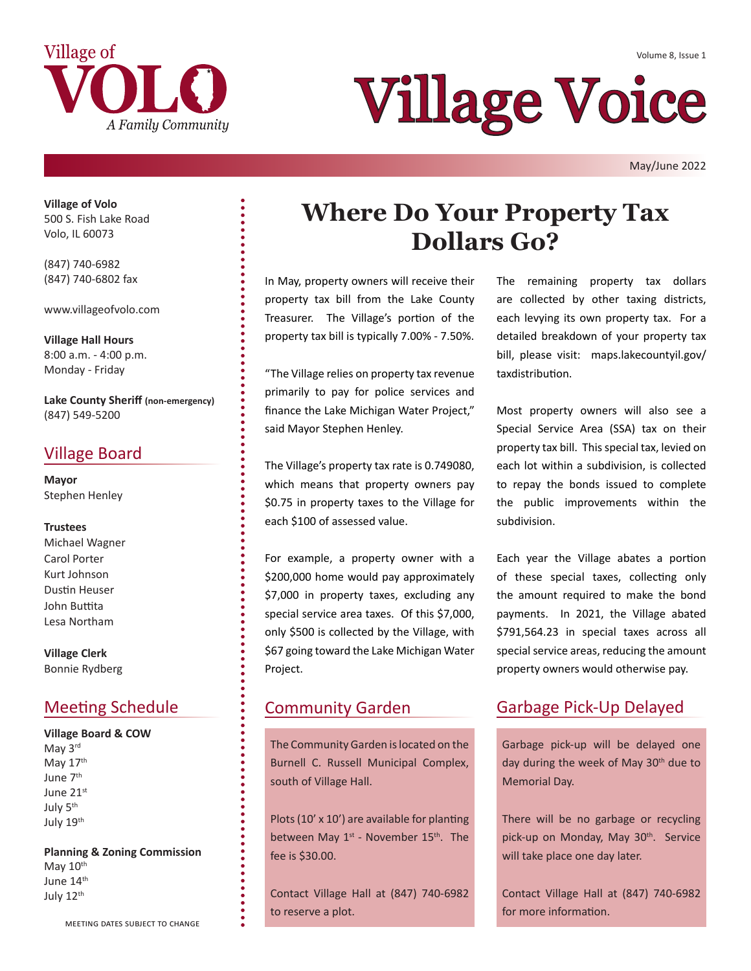



# Village Voice

May/June 2022

**Village of Volo** 500 S. Fish Lake Road Volo, IL 60073

(847) 740-6982 (847) 740-6802 fax

www.villageofvolo.com

**Village Hall Hours** 8:00 a.m. - 4:00 p.m. Monday - Friday

**Lake County Sheriff (non-emergency)** (847) 549-5200

### Village Board

**Mayor** Stephen Henley

#### **Trustees**

Michael Wagner Carol Porter Kurt Johnson Dustin Heuser John Buttita Lesa Northam

**Village Clerk** Bonnie Rydberg

### Meeting Schedule

**Village Board & COW** May 3rd May 17th June 7th June 21st July 5th July 19<sup>th</sup>

**Planning & Zoning Commission** May  $10<sup>th</sup>$ June 14<sup>th</sup> July 12<sup>th</sup>

## **Where Do Your Property Tax Dollars Go?**

In May, property owners will receive their property tax bill from the Lake County Treasurer. The Village's portion of the property tax bill is typically 7.00% - 7.50%.

"The Village relies on property tax revenue primarily to pay for police services and finance the Lake Michigan Water Project," said Mayor Stephen Henley.

The Village's property tax rate is 0.749080, which means that property owners pay \$0.75 in property taxes to the Village for each \$100 of assessed value.

For example, a property owner with a \$200,000 home would pay approximately \$7,000 in property taxes, excluding any special service area taxes. Of this \$7,000, only \$500 is collected by the Village, with \$67 going toward the Lake Michigan Water Project.

The Community Garden is located on the Burnell C. Russell Municipal Complex, south of Village Hall.

Plots (10' x 10') are available for planting between May  $1^{st}$  - November  $15^{th}$ . The fee is \$30.00.

Contact Village Hall at (847) 740-6982 to reserve a plot.

The remaining property tax dollars are collected by other taxing districts, each levying its own property tax. For a detailed breakdown of your property tax bill, please visit: maps.lakecountyil.gov/ taxdistribution.

Most property owners will also see a Special Service Area (SSA) tax on their property tax bill. This special tax, levied on each lot within a subdivision, is collected to repay the bonds issued to complete the public improvements within the subdivision.

Each year the Village abates a portion of these special taxes, collecting only the amount required to make the bond payments. In 2021, the Village abated \$791,564.23 in special taxes across all special service areas, reducing the amount property owners would otherwise pay.

### Community Garden Garbage Pick-Up Delayed

Garbage pick-up will be delayed one day during the week of May 30<sup>th</sup> due to Memorial Day.

There will be no garbage or recycling pick-up on Monday, May 30<sup>th</sup>. Service will take place one day later.

Contact Village Hall at (847) 740-6982 for more information.

meeting dates subject to change